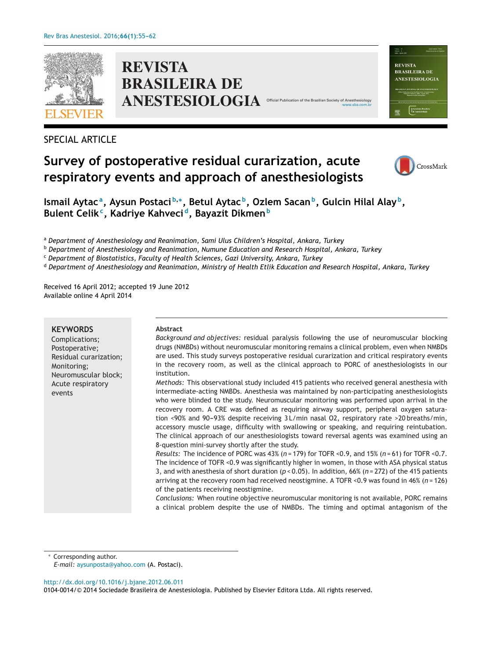

**REVISTA BRASILEIRA DE ANESTESIOLOGIA** Offic

# SPECIAL ARTICLE

# **Survey of postoperative residual curarization, acute respiratory events and approach of anesthesiologists**



Valume 43<br>Nimers 4 **REVISTA BRASILEIRA DE** ANESTESIOLOGIA

[www.sba.com.br](http://www.sba.com.br)

**Ismail Aytac a, Aysun Postaci <sup>b</sup>,∗, Betul Aytac b, Ozlem Sacanb, Gulcin Hilal Alay b, Bulent Celikc, Kadriye Kahveci d, Bayazit Dikmen<sup>b</sup>**

<sup>a</sup> *Department of Anesthesiology and Reanimation, Sami Ulus Children's Hospital, Ankara, Turkey*

<sup>b</sup> *Department of Anesthesiology and Reanimation, Numune Education and Research Hospital, Ankara, Turkey*

<sup>c</sup> *Department of Biostatistics, Faculty of Health Sciences, Gazi University, Ankara, Turkey*

<sup>d</sup> Department of Anesthesiology and Reanimation, Ministry of Health Etlik Education and Research Hospital, Ankara, Turkey

Received 16 April 2012; accepted 19 June 2012 Available online 4 April 2014

#### **KEYWORDS**

Complications; Postoperative; Residual curarization; Monitoring; Neuromuscular block; Acute respiratory events

#### **Abstract**

*Background and objectives:* residual paralysis following the use of neuromuscular blocking drugs (NMBDs) without neuromuscular monitoring remains a clinical problem, even when NMBDs are used. This study surveys postoperative residual curarization and critical respiratory events in the recovery room, as well as the clinical approach to PORC of anesthesiologists in our institution.

*Methods:* This observational study included 415 patients who received general anesthesia with intermediate-acting NMBDs. Anesthesia was maintained by non-participating anesthesiologists who were blinded to the study. Neuromuscular monitoring was performed upon arrival in the recovery room. A CRE was defined as requiring airway support, peripheral oxygen saturation <90% and 90-93% despite receiving 3L/min nasal O2, respiratory rate >20 breaths/min, accessory muscle usage, difficulty with swallowing or speaking, and requiring reintubation. The clinical approach of our anesthesiologists toward reversal agents was examined using an 8-question mini-survey shortly after the study.

*Results:* The incidence of PORC was 43% (*n* = 179) for TOFR <0.9, and 15% (*n* = 61) for TOFR <0.7. The incidence of TOFR <0.9 was significantly higher in women, in those with ASA physical status 3, and with anesthesia of short duration (*p* < 0.05). In addition, 66% (*n* = 272) of the 415 patients arriving at the recovery room had received neostigmine. A TOFR <0.9 was found in 46% (*n* = 126) of the patients receiving neostigmine.

*Conclusions:* When routine objective neuromuscular monitoring is not available, PORC remains a clinical problem despite the use of NMBDs. The timing and optimal antagonism of the

Corresponding author.

*E-mail:* [aysunposta@yahoo.com](mailto:aysunposta@yahoo.com) (A. Postaci).

[http://dx.doi.org/10.1016/j.bjane.2012.06.011](dx.doi.org/10.1016/j.bjane.2012.06.011)

<sup>0104-0014/©</sup> 2014 Sociedade Brasileira de Anestesiologia. Published by Elsevier Editora Ltda. All rights reserved.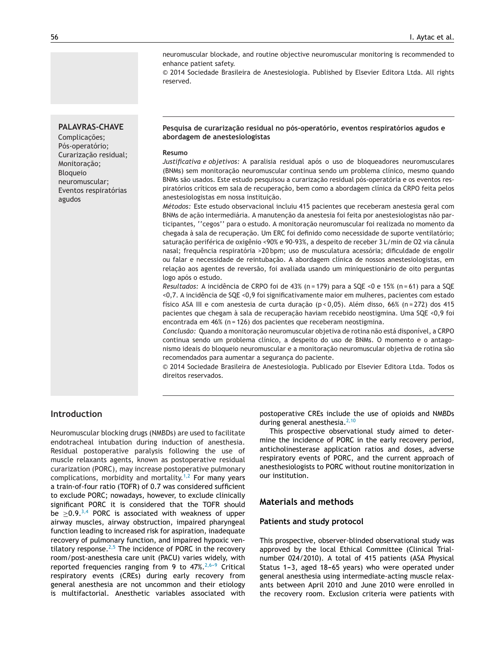neuromuscular blockade, and routine objective neuromuscular monitoring is recommended to enhance patient safety.

© 2014 Sociedade Brasileira de Anestesiologia. Published by Elsevier Editora Ltda. All rights reserved.

# **PALAVRAS-CHAVE**

Complicacões; Pós-operatório; Curarizacão residual; Monitoracão; Bloqueio neuromuscular; Eventos respiratórias agudos

#### **Pesquisa de curarizac¸ão residual no pós-operatório, eventos respiratórios agudos e abordagem de anestesiologistas**

#### **Resumo**

*Justificativa e objetivos:* A paralisia residual após o uso de bloqueadores neuromusculares (BNMs) sem monitoração neuromuscular continua sendo um problema clínico, mesmo quando BNMs são usados. Este estudo pesquisou a curarização residual pós-operatória e os eventos respiratórios críticos em sala de recuperação, bem como a abordagem clínica da CRPO feita pelos anestesiologistas em nossa instituição.

*Métodos:* Este estudo observacional incluiu 415 pacientes que receberam anestesia geral com BNMs de acão intermediária. A manutencão da anestesia foi feita por anestesiologistas não participantes, ''cegos'' para o estudo. A monitoração neuromuscular foi realizada no momento da chegada à sala de recuperação. Um ERC foi definido como necessidade de suporte ventilatório; saturação periférica de oxigênio <90% e 90-93%, a despeito de receber 3 L/min de O2 via cânula nasal; frequência respiratória >20 bpm; uso de musculatura acessória; dificuldade de engolir ou falar e necessidade de reintubação. A abordagem clínica de nossos anestesiologistas, em relação aos agentes de reversão, foi avaliada usando um miniquestionário de oito perguntas logo após o estudo.

*Resultados:* A incidência de CRPO foi de 43% (n = 179) para a SQE <0 e 15% (n = 61) para a SQE <0,7. A incidência de SQE <0,9 foi significativamente maior em mulheres, pacientes com estado físico ASA III e com anestesia de curta duração (p < 0,05). Além disso, 66% (n = 272) dos 415 pacientes que chegam à sala de recuperação haviam recebido neostigmina. Uma SQE <0,9 foi encontrada em 46% (n = 126) dos pacientes que receberam neostigmina.

*Conclusão:* Quando a monitorac¸ão neuromuscular objetiva de rotina não está disponível, a CRPO continua sendo um problema clínico, a despeito do uso de BNMs. O momento e o antagonismo ideais do bloqueio neuromuscular e a monitoração neuromuscular objetiva de rotina são recomendados para aumentar a segurança do paciente.

© 2014 Sociedade Brasileira de Anestesiologia. Publicado por Elsevier Editora Ltda. Todos os direitos reservados.

# **Introduction**

Neuromuscular blocking drugs (NMBDs) are used to facilitate endotracheal intubation during induction of anesthesia. Residual postoperative paralysis following the use of muscle relaxants agents, known as postoperative residual curarization (PORC), may increase postoperative pulmonary complications, morbidity and mortality.<sup>[1,2](#page-7-0)</sup> For many years a train-of-four ratio (TOFR) of 0.7 was considered sufficient to exclude PORC; nowadays, however, to exclude clinically significant PORC it is considered that the TOFR should be  $\geq$ 0.9.<sup>[3,4](#page-7-0)</sup> PORC is associated with weakness of upper airway muscles, airway obstruction, impaired pharyngeal function leading to increased risk for aspiration, inadequate recovery of pulmonary function, and impaired hypoxic ventilatory response. $2,5$  The incidence of PORC in the recovery room/post-anesthesia care unit (PACU) varies widely, with reported frequencies ranging from 9 to  $47\%$ <sup>2,6-9</sup> Critical respiratory events (CREs) during early recovery from general anesthesia are not uncommon and their etiology is multifactorial. Anesthetic variables associated with postoperative CREs include the use of opioids and NMBDs during general anesthesia.<sup>[2,10](#page-7-0)</sup>

This prospective observational study aimed to determine the incidence of PORC in the early recovery period, anticholinesterase application ratios and doses, adverse respiratory events of PORC, and the current approach of anesthesiologists to PORC without routine monitorization in our institution.

## **Materials and methods**

#### **Patients and study protocol**

This prospective, observer-blinded observational study was approved by the local Ethical Committee (Clinical Trialnumber 024/2010). A total of 415 patients (ASA Physical Status 1-3, aged 18-65 years) who were operated under general anesthesia using intermediate-acting muscle relaxants between April 2010 and June 2010 were enrolled in the recovery room. Exclusion criteria were patients with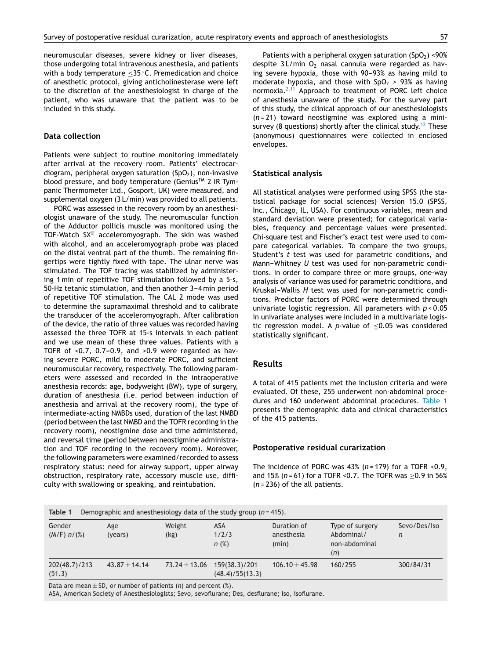neuromuscular diseases, severe kidney or liver diseases, those undergoing total intravenous anesthesia, and patients with a body temperature <35 °C. Premedication and choice of anesthetic protocol, giving anticholinesterase were left to the discretion of the anesthesiologist in charge of the patient, who was unaware that the patient was to be included in this study.

# **Data collection**

Patients were subject to routine monitoring immediately after arrival at the recovery room. Patients' electrocardiogram, peripheral oxygen saturation  $(SpO<sub>2</sub>)$ , non-invasive blood pressure, and body temperature (Genius<sup>TM</sup> 2 IR Tympanic Thermometer Ltd., Gosport, UK) were measured, and supplemental oxygen (3 L/min) was provided to all patients.

PORC was assessed in the recovery room by an anesthesiologist unaware of the study. The neuromuscular function of the Adductor pollicis muscle was monitored using the TOF-Watch SX® acceleromyograph. The skin was washed with alcohol, and an acceleromyograph probe was placed on the distal ventral part of the thumb. The remaining fingertips were tightly fixed with tape. The ulnar nerve was stimulated. The TOF tracing was stabilized by administering 1 min of repetitive TOF stimulation followed by a 5-s, 50-Hz tetanic stimulation, and then another 3-4 min period of repetitive TOF stimulation. The CAL 2 mode was used to determine the supramaximal threshold and to calibrate the transducer of the acceleromyograph. After calibration of the device, the ratio of three values was recorded having assessed the three TOFR at 15-s intervals in each patient and we use mean of these three values. Patients with a TOFR of  $< 0.7$ , 0.7-0.9, and  $> 0.9$  were regarded as having severe PORC, mild to moderate PORC, and sufficient neuromuscular recovery, respectively. The following parameters were assessed and recorded in the intraoperative anesthesia records: age, bodyweight (BW), type of surgery, duration of anesthesia (i.e. period between induction of anesthesia and arrival at the recovery room), the type of intermediate-acting NMBDs used, duration of the last NMBD (period between the last NMBD and the TOFR recording in the recovery room), neostigmine dose and time administered, and reversal time (period between neostigmine administration and TOF recording in the recovery room). Moreover, the following parameters were examined/recorded to assess respiratory status: need for airway support, upper airway obstruction, respiratory rate, accessory muscle use, difficulty with swallowing or speaking, and reintubation.

Patients with a peripheral oxygen saturation  $(SpO<sub>2</sub>) < 90%$ despite  $3$  L/min  $O_2$  nasal cannula were regarded as having severe hypoxia, those with 90-93% as having mild to moderate hypoxia, and those with  $SpO<sub>2</sub> > 93%$  as having normoxia. $2,11$  Approach to treatment of PORC left choice of anesthesia unaware of the study. For the survey part of this study, the clinical approach of our anesthesiologists (*n* = 21) toward neostigmine was explored using a mini-survey (8 questions) shortly after the clinical study.<sup>[12](#page-7-0)</sup> These (anonymous) questionnaires were collected in enclosed envelopes.

#### **Statistical analysis**

All statistical analyses were performed using SPSS (the statistical package for social sciences) Version 15.0 (SPSS, Inc., Chicago, IL, USA). For continuous variables, mean and standard deviation were presented; for categorical variables, frequency and percentage values were presented. Chi-square test and Fischer's exact test were used to compare categorical variables. To compare the two groups, Student's *t* test was used for parametric conditions, and Mann-Whitney *U* test was used for non-parametric conditions. In order to compare three or more groups, one-way analysis of variance was used for parametric conditions, and Kruskal-Wallis *H* test was used for non-parametric conditions. Predictor factors of PORC were determined through univariate logistic regression. All parameters with *p* < 0.05 in univariate analyses were included in a multivariate logistic regression model. A  $p$ -value of  $\leq 0.05$  was considered statistically significant.

## **Results**

A total of 415 patients met the inclusion criteria and were evaluated. Of these, 255 underwent non-abdominal procedures and 160 underwent abdominal procedures. Table 1 presents the demographic data and clinical characteristics of the 415 patients.

#### **Postoperative residual curarization**

The incidence of PORC was  $43\%$  ( $n = 179$ ) for a TOFR <0.9, and 15% (*n* = 61) for a TOFR <0.7. The TOFR was ≥0.9 in 56% (*n* = 236) of the all patients.

| Table 1<br>Demographic and anesthesiology data of the study group $(n=415)$ . |                   |                   |                                  |                                    |                                                       |                   |  |  |
|-------------------------------------------------------------------------------|-------------------|-------------------|----------------------------------|------------------------------------|-------------------------------------------------------|-------------------|--|--|
| Gender<br>(M/F) n/(%)                                                         | Age<br>(years)    | Weight<br>(kg)    | ASA<br>1/2/3<br>n(%)             | Duration of<br>anesthesia<br>(min) | Type of surgery<br>Abdominal/<br>non-abdominal<br>(n) | Sevo/Des/Iso<br>n |  |  |
| 202(48.7)/213<br>(51.3)                                                       | $43.87 \pm 14.14$ | $73.24 \pm 13.06$ | 159(38.3)/201<br>(48.4)/55(13.3) | $106.10 \pm 45.98$                 | 160/255                                               | 300/84/31         |  |  |

Data are mean  $\pm$  SD, or number of patients (*n*) and percent (%).

**Table 1** Demographic and anesthesiology data of the study group (*n* = 415).

ASA, American Society of Anesthesiologists; Sevo, sevoflurane; Des, desflurane; Iso, isoflurane.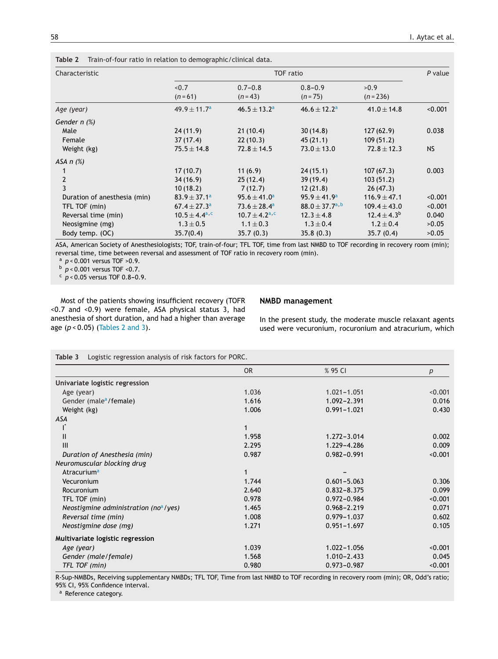| Characteristic               | <b>TOF</b> ratio            |                             |                                |                     |         |
|------------------------------|-----------------------------|-----------------------------|--------------------------------|---------------------|---------|
|                              | < 0.7<br>$(n=61)$           | $0.7 - 0.8$<br>$(n=43)$     | $0.8 - 0.9$<br>$(n = 75)$      | >0.9<br>$(n = 236)$ |         |
| Age (year)                   | $49.9 \pm 11.7^a$           | $46.5 \pm 13.2^a$           | $46.6 \pm 12.2^a$              | $41.0 \pm 14.8$     | < 0.001 |
| Gender n (%)                 |                             |                             |                                |                     |         |
| Male                         | 24(11.9)                    | 21(10.4)                    | 30(14.8)                       | 127(62.9)           | 0.038   |
| Female                       | 37 (17.4)                   | 22(10.3)                    | 45(21.1)                       | 109(51.2)           |         |
| Weight (kg)                  | $75.5 \pm 14.8$             | $72.8 \pm 14.5$             | $73.0 \pm 13.0$                | $72.8 \pm 12.3$     | NS.     |
| ASA $n$ $(\%)$               |                             |                             |                                |                     |         |
|                              | 17(10.7)                    | 11(6.9)                     | 24(15.1)                       | 107(67.3)           | 0.003   |
| $\overline{2}$               | 34(16.9)                    | 25(12.4)                    | 39(19.4)                       | 103(51.2)           |         |
| $\overline{3}$               | 10(18.2)                    | 7(12.7)                     | 12(21.8)                       | 26(47.3)            |         |
| Duration of anesthesia (min) | $83.9 \pm 37.1^a$           | $95.6 \pm 41.0^a$           | $95.9 \pm 41.9^a$              | $116.9 \pm 47.1$    | < 0.001 |
| TFL TOF (min)                | $67.4 \pm 27.3^a$           | $73.6 \pm 28.4^a$           | 88.0 $\pm$ 37.7 <sup>a,b</sup> | $109.4 \pm 43.0$    | < 0.001 |
| Reversal time (min)          | $10.5 \pm 4.4^{\text{a,c}}$ | $10.7 \pm 4.2^{\text{a,c}}$ | $12.3 \pm 4.8$                 | $12.4 \pm 4.3^{b}$  | 0.040   |
| Neosigmine (mg)              | $1.3 \pm 0.5$               | $1.1 \pm 0.3$               | $1.3 \pm 0.4$                  | $1.2 \pm 0.4$       | >0.05   |
| Body temp. (OC)              | 35.7(0.4)                   | 35.7(0.3)                   | 35.8(0.3)                      | 35.7(0.4)           | >0.05   |

<span id="page-3-0"></span>**Table 2** Train-of-four ratio in relation to demographic/clinical data.

ASA, American Society of Anesthesiologists; TOF, train-of-four; TFL TOF, time from last NMBD to TOF recording in recovery room (min); reversal time, time between reversal and assessment of TOF ratio in recovery room (min).

<sup>a</sup> *p* < 0.001 versus TOF >0.9.

<sup>b</sup> *p* < 0.001 versus TOF <0.7.

 $c$   $p < 0.05$  versus TOF 0.8-0.9.

Most of the patients showing insufficient recovery (TOFR <0.7 and <0.9) were female, ASA physical status 3, had anesthesia of short duration, and had a higher than average age (*p* < 0.05) (Tables 2 and 3).

#### **NMBD management**

In the present study, the moderate muscle relaxant agents used were vecuronium, rocuronium and atracurium, which

**Table 3** Logistic regression analysis of risk factors for PORC.

|                                          | <b>OR</b> | % 95 CI         | р       |
|------------------------------------------|-----------|-----------------|---------|
| Univariate logistic regression           |           |                 |         |
| Age (year)                               | 1.036     | $1.021 - 1.051$ | < 0.001 |
| Gender (male <sup>a</sup> /female)       | 1.616     | 1.092-2.391     | 0.016   |
| Weight (kg)                              | 1.006     | $0.991 - 1.021$ | 0.430   |
| ASA                                      |           |                 |         |
|                                          |           |                 |         |
| $\mathbf{I}$                             | 1.958     | $1.272 - 3.014$ | 0.002   |
| III                                      | 2.295     | 1.229-4.286     | 0.009   |
| Duration of Anesthesia (min)             | 0.987     | $0.982 - 0.991$ | < 0.001 |
| Neuromuscular blocking drug              |           |                 |         |
| Atracurium <sup>a</sup>                  |           |                 |         |
| Vecuronium                               | 1.744     | $0.601 - 5.063$ | 0.306   |
| Rocuronium                               | 2.640     | $0.832 - 8.375$ | 0.099   |
| TFL TOF (min)                            | 0.978     | $0.972 - 0.984$ | < 0.001 |
| Neostigmine administration (no $a$ /yes) | 1.465     | $0.968 - 2.219$ | 0.071   |
| Reversal time (min)                      | 1.008     | $0.979 - 1.037$ | 0.602   |
| Neostigmine dose (mg)                    | 1.271     | $0.951 - 1.697$ | 0.105   |
| Multivariate logistic regression         |           |                 |         |
| Age (year)                               | 1.039     | $1.022 - 1.056$ | < 0.001 |
| Gender (male/female)                     | 1.568     | $1.010 - 2.433$ | 0.045   |
| TFL TOF (min)                            | 0.980     | $0.973 - 0.987$ | < 0.001 |

R-Sup-NMBDs, Receiving supplementary NMBDs; TFL TOF, Time from last NMBD to TOF recording in recovery room (min); OR, Odd's ratio; 95% CI, 95% Confidence interval.

a Reference category.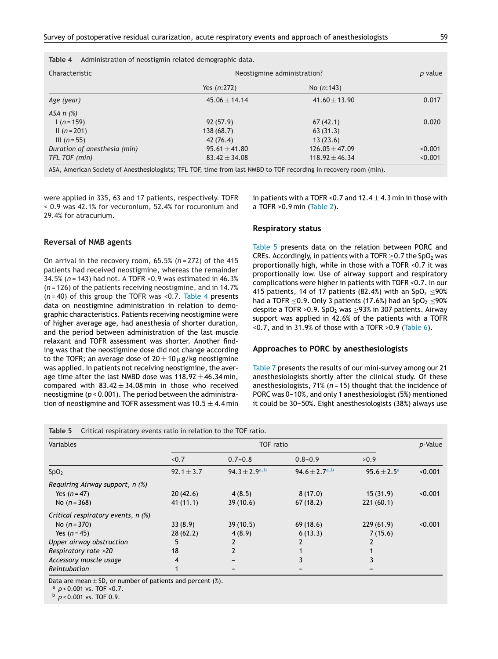| Table 4 |  |  | Administration of neostigmin related demographic data. |
|---------|--|--|--------------------------------------------------------|
|         |  |  |                                                        |

| Characteristic               | Neostigmine administration? | p value            |         |  |
|------------------------------|-----------------------------|--------------------|---------|--|
|                              | Yes $(n:272)$               | No $(n:143)$       |         |  |
| Age (year)                   | $45.06 \pm 14.14$           | $41.60 \pm 13.90$  | 0.017   |  |
| ASA $n$ $(\%)$               |                             |                    |         |  |
| $1(n=159)$                   | 92(57.9)                    | 67(42.1)           | 0.020   |  |
| $II(n=201)$                  | 138 (68.7)                  | 63(31.3)           |         |  |
| III $(n = 55)$               | 42(76.4)                    | 13(23.6)           |         |  |
| Duration of anesthesia (min) | $95.61 \pm 41.80$           | $126.05 \pm 47.09$ | < 0.001 |  |
| TFL TOF (min)                | $83.42 \pm 34.08$           | $118.92 \pm 46.34$ | < 0.001 |  |

ASA, American Society of Anesthesiologists; TFL TOF, time from last NMBD to TOF recording in recovery room (min).

were applied in 335, 63 and 17 patients, respectively. TOFR < 0.9 was 42.1% for vecuronium, 52.4% for rocuronium and 29.4% for atracurium.

# **Reversal of NMB agents**

On arrival in the recovery room, 65.5% (*n* = 272) of the 415 patients had received neostigmine, whereas the remainder 34.5% (*n* = 143) had not. A TOFR <0.9 was estimated in 46.3% (*n* = 126) of the patients receiving neostigmine, and in 14.7% (*n* = 40) of this group the TOFR was <0.7. Table 4 presents data on neostigmine administration in relation to demographic characteristics. Patients receiving neostigmine were of higher average age, had anesthesia of shorter duration, and the period between administration of the last muscle relaxant and TOFR assessment was shorter. Another finding was that the neostigmine dose did not change according to the TOFR; an average dose of 20  $\pm$  10  $\mu$ g/kg neostigmine was applied. In patients not receiving neostigmine, the average time after the last NMBD dose was  $118.92 \pm 46.34$  min, compared with  $83.42 \pm 34.08$  min in those who received neostigmine (*p* < 0.001). The period between the administration of neostigmine and TOFR assessment was  $10.5 \pm 4.4$  min in patients with a TOFR < 0.7 and  $12.4 \pm 4.3$  min in those with a TOFR >0.9 min [\(Table](#page-3-0) 2).

#### **Respiratory status**

Table 5 presents data on the relation between PORC and CREs. Accordingly, in patients with a TOFR  $>0.7$  the SpO<sub>2</sub> was proportionally high, while in those with a TOFR <0.7 it was proportionally low. Use of airway support and respiratory complications were higher in patients with TOFR <0.7. In our 415 patients, 14 of 17 patients (82.4%) with an SpO<sub>2</sub> <90% had a TOFR  $\leq$ 0.9. Only 3 patients (17.6%) had an SpO<sub>2</sub>  $\leq$ 90% despite a TOFR > 0.9. SpO<sub>2</sub> was  $\geq$ 93% in 307 patients. Airway support was applied in 42.6% of the patients with a TOFR <0.7, and in 31.9% of those with a TOFR >0.9 ([Table](#page-5-0) 6).

# **Approaches to PORC by anesthesiologists**

[Table](#page-5-0) 7 presents the results of our mini-survey among our 21 anesthesiologists shortly after the clinical study. Of these anesthesiologists, 71% (*n* = 15) thought that the incidence of PORC was 0-10%, and only 1 anesthesiologist (5%) mentioned it could be 30-50%. Eight anesthesiologists (38%) always use

**Table 5** Critical respiratory events ratio in relation to the TOF ratio.

| Variables                            | <b>TOF</b> ratio |                      |                           |                  |         |
|--------------------------------------|------------------|----------------------|---------------------------|------------------|---------|
|                                      | < 0.7            | $0.7 - 0.8$          | $0.8 - 0.9$               | >0.9             |         |
| SpO <sub>2</sub>                     | $92.1 \pm 3.7$   | $94.3 \pm 2.9^{a,b}$ | 94.6 ± 2.7 <sup>a,b</sup> | $95.6 \pm 2.5^a$ | < 0.001 |
| Requiring Airway support, $n$ (%)    |                  |                      |                           |                  |         |
| Yes $(n = 47)$                       | 20(42.6)         | 4(8.5)               | 8(17.0)                   | 15(31.9)         | < 0.001 |
| No $(n = 368)$                       | 41(11.1)         | 39(10.6)             | 67(18.2)                  | 221(60.1)        |         |
| Critical respiratory events, $n$ (%) |                  |                      |                           |                  |         |
| No $(n = 370)$                       | 33(8.9)          | 39(10.5)             | 69(18.6)                  | 229(61.9)        | < 0.001 |
| Yes $(n = 45)$                       | 28(62.2)         | 4(8.9)               | 6(13.3)                   | 7(15.6)          |         |
| Upper airway obstruction             | 5                |                      |                           | 2                |         |
| Respiratory rate >20                 | 18               | $\overline{2}$       |                           |                  |         |
| Accessory muscle usage               | 4                |                      |                           |                  |         |
| Reintubation                         |                  |                      |                           |                  |         |

Data are mean  $\pm$  SD, or number of patients and percent (%).<br><sup>a</sup>  $p$  < 0.001 vs. TOF < 0.7.

<sup>b</sup> *p* < 0.001 vs. TOF 0.9.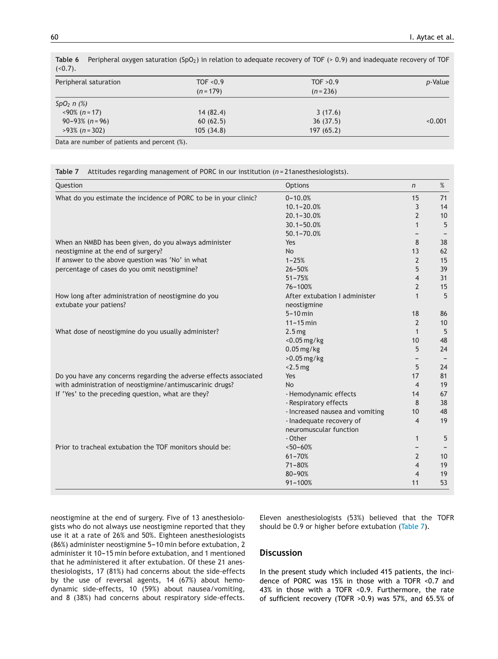| $1 - 0.11$                      | TOF $< 0.9$ | TOF $>0.9$ |                 |
|---------------------------------|-------------|------------|-----------------|
| Peripheral saturation           | $(n = 179)$ | $(n=236)$  | <i>p</i> -Value |
| $SpO2 n$ (%)                    |             |            |                 |
| $\langle 90\% \ (n=17) \rangle$ | 14(82.4)    | 3(17.6)    |                 |
| $90 - 93\%$ (n = 96)            | 60(62.5)    | 36(37.5)   | < 0.001         |
| $>93\%$ (n = 302)               | 105(34.8)   | 197 (65.2) |                 |

<span id="page-5-0"></span>Table 6 Peripheral oxygen saturation (SpO<sub>2</sub>) in relation to adequate recovery of TOF (> 0.9) and inadequate recovery of TOF  $(50.7)$ 

Data are number of patients and percent (%).

| Question                                                          | <b>Options</b>                  | $\mathsf{n}$   | %  |
|-------------------------------------------------------------------|---------------------------------|----------------|----|
| What do you estimate the incidence of PORC to be in your clinic?  | $0 - 10.0%$                     | 15             | 71 |
|                                                                   | $10.1 - 20.0%$                  | 3              | 14 |
|                                                                   | $20.1 - 30.0%$                  | $\overline{2}$ | 10 |
|                                                                   | $30.1 - 50.0%$                  | $\mathbf{1}$   | 5  |
|                                                                   | $50.1 - 70.0%$                  |                |    |
| When an NMBD has been given, do you always administer             | Yes                             | 8              | 38 |
| neostigmine at the end of surgery?                                | <b>No</b>                       | 13             | 62 |
| If answer to the above question was 'No' in what                  | $1 - 25%$                       | $\overline{2}$ | 15 |
| percentage of cases do you omit neostigmine?                      | $26 - 50%$                      | 5              | 39 |
|                                                                   | $51 - 75%$                      | $\overline{4}$ | 31 |
|                                                                   | $76 - 100%$                     | 2              | 15 |
| How long after administration of neostigmine do you               | After extubation I administer   | $\mathbf{1}$   | 5  |
| extubate your patiens?                                            | neostigmine                     |                |    |
|                                                                   | $5 - 10$ min                    | 18             | 86 |
|                                                                   | $11 - 15$ min                   | $\overline{2}$ | 10 |
| What dose of neostigmine do you usually administer?               | 2.5 <sub>mg</sub>               | $\mathbf{1}$   | 5  |
|                                                                   | <0.05 mg/kg                     | 10             | 48 |
|                                                                   | $0.05$ mg/kg                    | 5              | 24 |
|                                                                   | $>0.05$ mg/kg                   | -              |    |
|                                                                   | $<$ 2.5 $mg$                    | 5              | 24 |
| Do you have any concerns regarding the adverse effects associated | Yes                             | 17             | 81 |
| with administration of neostigmine/antimuscarinic drugs?          | <b>No</b>                       | $\overline{4}$ | 19 |
| If 'Yes' to the preceding question, what are they?                | - Hemodynamic effects           | 14             | 67 |
|                                                                   | - Respiratory effects           | 8              | 38 |
|                                                                   | - Increased nausea and vomiting | 10             | 48 |
|                                                                   | - Inadequate recovery of        | 4              | 19 |
|                                                                   | neuromuscular function          |                |    |
|                                                                   | - Other                         | 1              | 5  |
| Prior to tracheal extubation the TOF monitors should be:          | $~50 - 60%$                     |                |    |
|                                                                   | $61 - 70%$                      | $\overline{2}$ | 10 |
|                                                                   | $71 - 80%$                      | $\overline{4}$ | 19 |
|                                                                   | 80-90%                          | $\overline{4}$ | 19 |
|                                                                   | $91 - 100%$                     | 11             | 53 |

neostigmine at the end of surgery. Five of 13 anesthesiologists who do not always use neostigmine reported that they use it at a rate of 26% and 50%. Eighteen anesthesiologists (86%) administer neostigmine 5-10 min before extubation, 2 administer it 10-15 min before extubation, and 1 mentioned that he administered it after extubation. Of these 21 anesthesiologists, 17 (81%) had concerns about the side-effects by the use of reversal agents, 14 (67%) about hemodynamic side-effects, 10 (59%) about nausea/vomiting, and 8 (38%) had concerns about respiratory side-effects. Eleven anesthesiologists (53%) believed that the TOFR should be 0.9 or higher before extubation (Table 7).

# **Discussion**

In the present study which included 415 patients, the incidence of PORC was 15% in those with a TOFR <0.7 and 43% in those with a TOFR <0.9. Furthermore, the rate of sufficient recovery (TOFR >0.9) was 57%, and 65.5% of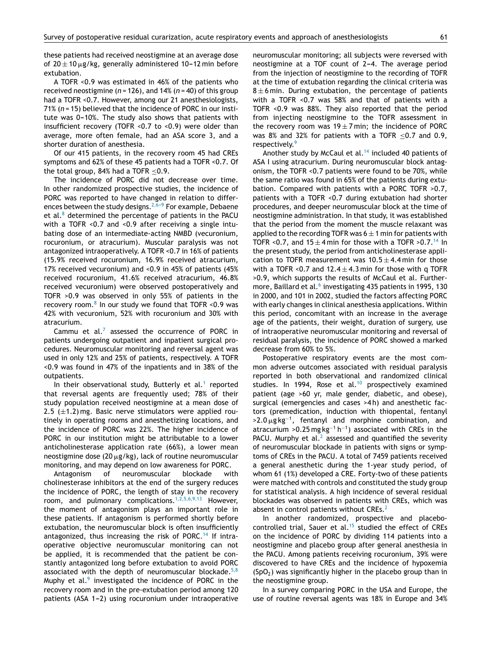these patients had received neostigmine at an average dose of 20 $\pm$ 10  $\mu$ g/kg, generally administered 10–12 min before extubation.

A TOFR <0.9 was estimated in 46% of the patients who received neostigmine (*n* = 126), and 14% (*n* = 40) of this group had a TOFR <0.7. However, among our 21 anesthesiologists, 71% (*n* = 15) believed that the incidence of PORC in our institute was 0-10%. The study also shows that patients with insufficient recovery (TOFR <0.7 to <0.9) were older than average, more often female, had an ASA score 3, and a shorter duration of anesthesia.

Of our 415 patients, in the recovery room 45 had CREs symptoms and 62% of these 45 patients had a TOFR <0.7. Of the total group,  $84\%$  had a TOFR < 0.9.

The incidence of PORC did not decrease over time. In other randomized prospective studies, the incidence of PORC was reported to have changed in relation to differences between the study designs.  $2,6-9$  For example, Debaene et al. $8$  determined the percentage of patients in the PACU with a TOFR <0.7 and <0.9 after receiving a single intubating dose of an intermediate-acting NMBD (vecuronium, rocuronium, or atracurium). Muscular paralysis was not antagonized intraoperatively. A TOFR <0.7 in 16% of patients (15.9% received rocuronium, 16.9% received atracurium, 17% received vecuronium) and <0.9 in 45% of patients (45% received rocuronium, 41.6% received atracurium, 46.8% received vecuronium) were observed postoperatively and TOFR >0.9 was observed in only 55% of patients in the recovery room. $8 \text{ In our study we found that TOFR} < 0.9 \text{ was}$  $8 \text{ In our study we found that TOFR} < 0.9 \text{ was}$ 42% with vecuronium, 52% with rocuronium and 30% with atracurium.

Cammu et al. $<sup>7</sup>$  $<sup>7</sup>$  $<sup>7</sup>$  assessed the occurrence of PORC in</sup> patients undergoing outpatient and inpatient surgical procedures. Neuromuscular monitoring and reversal agent was used in only 12% and 25% of patients, respectively. A TOFR <0.9 was found in 47% of the inpatients and in 38% of the outpatients.

In their observational study, Butterly et al.<sup>[1](#page-7-0)</sup> reported that reversal agents are frequently used; 78% of their study population received neostigmine at a mean dose of 2.5 ( $\pm$ 1.2) mg. Basic nerve stimulators were applied routinely in operating rooms and anesthetizing locations, and the incidence of PORC was 22%. The higher incidence of PORC in our institution might be attributable to a lower anticholinesterase application rate (66%), a lower mean neostigmine dose (20  $\mu$ g/kg), lack of routine neuromuscular monitoring, and may depend on low awareness for PORC.

Antagonism of neuromuscular blockade with cholinesterase inhibitors at the end of the surgery reduces the incidence of PORC, the length of stay in the recovery room, and pulmonary complications.<sup>[1,2,5,6,9,13](#page-7-0)</sup> However, the moment of antagonism plays an important role in these patients. If antagonism is performed shortly before extubation, the neuromuscular block is often insufficiently antagonized, thus increasing the risk of PORC.<sup>[14](#page-7-0)</sup> If intraoperative objective neuromuscular monitoring can not be applied, it is recommended that the patient be constantly antagonized long before extubation to avoid PORC associated with the depth of neuromuscular blockade. $5,8$ Muphy et al. $9$  investigated the incidence of PORC in the recovery room and in the pre-extubation period among 120 patients (ASA 1-2) using rocuronium under intraoperative neuromuscular monitoring; all subjects were reversed with neostigmine at a TOF count of  $2-4$ . The average period from the injection of neostigmine to the recording of TOFR at the time of extubation regarding the clinical criteria was  $8 \pm 6$  min. During extubation, the percentage of patients with a TOFR <0.7 was 58% and that of patients with a TOFR <0.9 was 88%. They also reported that the period from injecting neostigmine to the TOFR assessment in the recovery room was  $19 \pm 7$  min; the incidence of PORC was 8% and 32% for patients with a TOFR  $\leq$ 0.7 and 0.9, respectively.<sup>[9](#page-7-0)</sup>

Another study by McCaul et al. $14$  included 40 patients of ASA I using atracurium. During neuromuscular block antagonism, the TOFR <0.7 patients were found to be 70%, while the same ratio was found in 65% of the patients during extubation. Compared with patients with a PORC TOFR >0.7, patients with a TOFR <0.7 during extubation had shorter procedures, and deeper neuromuscular block at the time of neostigmine administration. In that study, it was established that the period from the moment the muscle relaxant was applied to the recording TOFR was  $6 \pm 1$  min for patients with TOFR <0.7, and  $15 \pm 4$  min for those with a TOFR >0.7.<sup>[14](#page-7-0)</sup> In the present study, the period from anticholinesterase application to TOFR measurement was  $10.5 \pm 4.4$  min for those with a TOFR < 0.7 and  $12.4 \pm 4.3$  min for those with g TOFR >0.9, which supports the results of McCaul et al. Furthermore, Baillard et al.<sup>6</sup> [in](#page-7-0)vestigating 435 patients in 1995, 130 in 2000, and 101 in 2002, studied the factors affecting PORC with early changes in clinical anesthesia applications. Within this period, concomitant with an increase in the average age of the patients, their weight, duration of surgery, use of intraoperative neuromuscular monitoring and reversal of residual paralysis, the incidence of PORC showed a marked decrease from 60% to 5%.

Postoperative respiratory events are the most common adverse outcomes associated with residual paralysis reported in both observational and randomized clinical studies. In 1994, Rose et al.<sup>[10](#page-7-0)</sup> prospectively examined patient (age >60 yr, male gender, diabetic, and obese), surgical (emergencies and cases >4 h) and anesthetic factors (premedication, induction with thiopental, fentanyl  $>2.0 \,\mu$ g kg<sup>-1</sup>, fentanyl and morphine combination, and atracurium >0.25 mg kg<sup>-1</sup> h<sup>-1</sup>) associated with CREs in the PACU. Murphy et al.<sup>[2](#page-7-0)</sup> assessed and quantified the severity of neuromuscular blockade in patients with signs or symptoms of CREs in the PACU. A total of 7459 patients received a general anesthetic during the 1-year study period, of whom 61 (1%) developed a CRE. Forty-two of these patients were matched with controls and constituted the study group for statistical analysis. A high incidence of several residual blockades was observed in patients with CREs, which was absent in control patients without CREs.<sup>[2](#page-7-0)</sup>

In another randomized, prospective and placebo-controlled trial, Sauer et al.<sup>[15](#page-7-0)</sup> studied the effect of CREs on the incidence of PORC by dividing 114 patients into a neostigmine and placebo group after general anesthesia in the PACU. Among patients receiving rocuronium, 39% were discovered to have CREs and the incidence of hypoxemia  $(SpO<sub>2</sub>)$  was significantly higher in the placebo group than in the neostigmine group.

In a survey comparing PORC in the USA and Europe, the use of routine reversal agents was 18% in Europe and 34%